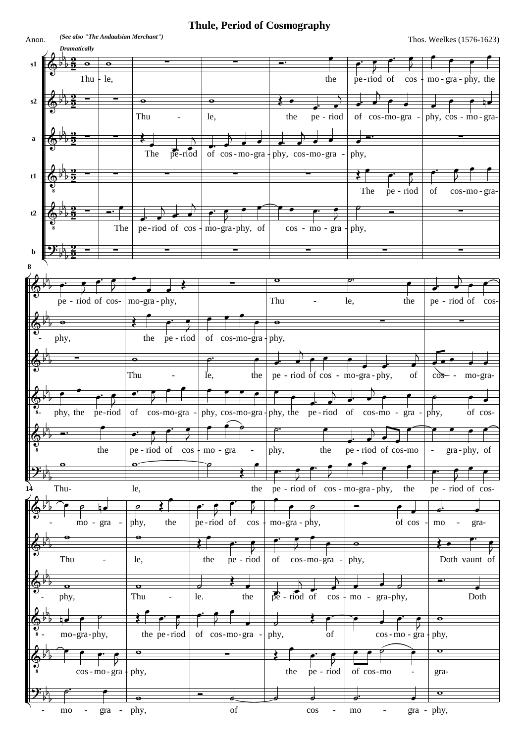## **Thule, Period of Cosmography**

*(See also "The Andaulsian Merchant")*

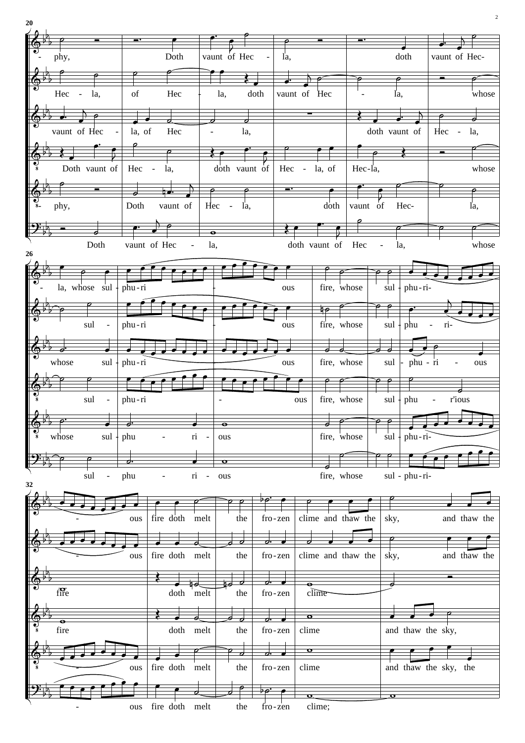| 20                     |                      |                                |                                                                                                    |                            |                             |                                       |               |         |                               |                       |                    |                         |                   |                          | $\overline{2}$ |
|------------------------|----------------------|--------------------------------|----------------------------------------------------------------------------------------------------|----------------------------|-----------------------------|---------------------------------------|---------------|---------|-------------------------------|-----------------------|--------------------|-------------------------|-------------------|--------------------------|----------------|
|                        |                      |                                |                                                                                                    |                            |                             |                                       |               |         |                               |                       |                    |                         |                   |                          |                |
|                        | phy,                 |                                |                                                                                                    | Doth                       |                             | vaunt of Hec                          |               | la,     |                               |                       |                    |                         | doth              | vaunt of Hec-            |                |
|                        |                      |                                |                                                                                                    |                            |                             |                                       |               |         |                               |                       | o                  |                         |                   |                          |                |
|                        |                      |                                |                                                                                                    |                            |                             |                                       |               |         |                               |                       |                    |                         |                   |                          |                |
|                        |                      | Hec - la,                      | $% \left( \left( \mathcal{A},\mathcal{A}\right) \right) =\left( \mathcal{A},\mathcal{A}\right)$ of | Hec                        | la,                         |                                       | doth          |         | vaunt of Hec                  |                       |                    | la,                     |                   |                          | whose          |
|                        |                      |                                |                                                                                                    |                            |                             |                                       |               |         |                               |                       |                    |                         |                   |                          |                |
|                        |                      | vaunt of Hec<br>$\blacksquare$ | la, of                                                                                             | Hec                        | $\overline{\phantom{a}}$    | la,                                   |               |         |                               |                       |                    | doth vaunt of           |                   | Hec - $1a$ ,             |                |
|                        |                      |                                |                                                                                                    |                            |                             |                                       |               |         |                               |                       |                    |                         |                   |                          |                |
|                        |                      | Doth vaunt of                  |                                                                                                    | $Hec - la$ ,               |                             | doth vaunt of                         |               |         | Hec - la, of                  |                       | Hec-la,            |                         |                   |                          | whose          |
|                        |                      |                                |                                                                                                    | −•                         |                             | o                                     |               | ÷       |                               |                       |                    |                         |                   |                          |                |
| $\overrightarrow{e_8}$ | phy,                 |                                | Doth                                                                                               | vaunt of                   |                             | $Hec - Ia$ ,                          |               |         |                               | doth                  | vaunt of           |                         | Hec-              |                          | la,            |
|                        |                      |                                |                                                                                                    |                            |                             |                                       |               |         |                               |                       |                    |                         |                   |                          |                |
|                        |                      | ᢦ<br>Doth                      |                                                                                                    | vaunt of Hec<br>$\sim$ $-$ | $\overline{\bullet}$<br>la, |                                       |               |         | doth vaunt of Hec             |                       | $\sim 100$         | la,                     |                   |                          | whose          |
| 26                     |                      |                                |                                                                                                    |                            |                             |                                       |               |         |                               |                       |                    |                         |                   |                          |                |
|                        |                      |                                |                                                                                                    |                            |                             |                                       |               |         |                               |                       |                    |                         |                   |                          |                |
|                        |                      | la, whose $\ $ sul $\ $ phu-ri |                                                                                                    |                            |                             |                                       |               | ous     |                               | fire, whose           |                    |                         | $sul + phu - ri-$ |                          |                |
|                        |                      |                                |                                                                                                    |                            |                             |                                       |               |         |                               | $\neg$                |                    |                         |                   |                          |                |
|                        |                      | sul - $ $ phu-ri               |                                                                                                    |                            |                             |                                       |               | ous     |                               | fire, whose           |                    |                         |                   | $\text{sul}$ + phu - ri- |                |
|                        |                      |                                |                                                                                                    |                            |                             |                                       |               |         |                               |                       |                    |                         |                   |                          |                |
|                        | ď<br>whose           |                                | sul + phu - ri                                                                                     |                            |                             |                                       |               | ous     |                               | o<br>d<br>fire, whose |                    | sul                     | - phu - ri        | $\blacksquare$           | ous            |
|                        |                      |                                |                                                                                                    |                            |                             |                                       |               |         |                               |                       |                    |                         |                   |                          |                |
|                        |                      | sul -                          | $ phi-ri$                                                                                          |                            |                             |                                       |               |         | ous                           |                       | fire, whose        | $sul +$                 | phu               | $\omega_{\rm{max}}$      | r'ious         |
|                        |                      |                                |                                                                                                    |                            |                             |                                       |               |         |                               |                       |                    |                         |                   |                          |                |
|                        |                      |                                | d                                                                                                  |                            |                             | $\bullet$                             |               |         |                               |                       |                    |                         |                   |                          |                |
|                        | whose                | $sul +$                        | phu                                                                                                | ÷                          | ri -                        | ous                                   |               |         |                               | fire, whose           |                    | $\left  \sin \right $   | phu-ri-           |                          |                |
|                        |                      |                                | o.                                                                                                 |                            |                             | $\bullet$                             |               |         |                               |                       |                    |                         |                   |                          |                |
| 32                     |                      | sul<br>$\blacksquare$          | phu                                                                                                |                            | $\overline{\text{ri}}$ -    | ous                                   |               |         |                               | fire, whose           |                    |                         | sul - phu-ri-     |                          |                |
|                        |                      |                                |                                                                                                    |                            |                             |                                       | Þρ.           |         |                               |                       |                    |                         |                   |                          |                |
|                        |                      |                                | ous                                                                                                | fire doth                  | melt                        | the                                   |               | fro-zen |                               |                       | clime and thaw the | sky,                    |                   |                          | and thaw the   |
|                        |                      |                                |                                                                                                    |                            |                             |                                       |               |         |                               |                       |                    |                         |                   |                          |                |
|                        |                      |                                | ous                                                                                                | fire doth                  | melt                        | $\overline{\mathcal{O}}$<br>o.<br>the | d.<br>fro-zen |         |                               |                       | clime and thaw the | sky,                    |                   |                          | and thaw the   |
|                        |                      |                                |                                                                                                    |                            |                             |                                       |               |         |                               |                       |                    |                         |                   |                          |                |
|                        | $f\overline{f}$      |                                |                                                                                                    | doth melt                  |                             | Ьd<br>o<br>the                        |               | fro-zen | $\overline{\bullet}$<br>clime |                       |                    |                         |                   |                          |                |
|                        |                      |                                |                                                                                                    |                            |                             |                                       |               |         |                               |                       |                    |                         |                   |                          |                |
|                        | $\overline{\bullet}$ |                                |                                                                                                    |                            |                             | ರ                                     |               |         | $\bullet$                     |                       |                    |                         |                   |                          |                |
|                        | fire                 |                                |                                                                                                    | doth                       | melt                        | the                                   |               | fro-zen | clime                         |                       |                    |                         |                   | and thaw the sky,        |                |
|                        |                      |                                |                                                                                                    |                            |                             | $\overline{\boldsymbol{c}}$           | d.            |         | $\bullet$                     |                       |                    |                         |                   |                          |                |
|                        |                      |                                | ous                                                                                                | fire doth                  | melt                        | the                                   | fro-zen       |         | clime                         |                       |                    |                         |                   | and thaw the sky, the    |                |
|                        |                      |                                |                                                                                                    |                            |                             |                                       |               |         |                               |                       |                    |                         |                   |                          |                |
|                        |                      |                                | ous                                                                                                | fire doth melt             |                             | the                                   |               | fro-zen | clime;                        |                       |                    | $\overline{\mathbf{o}}$ |                   |                          |                |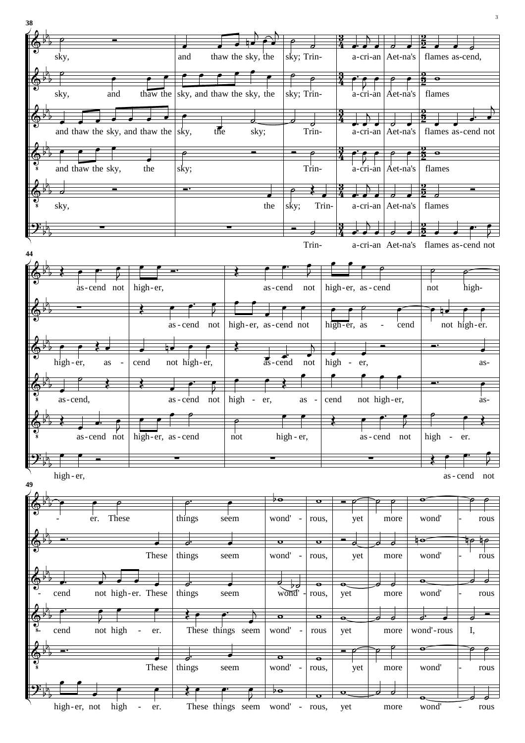